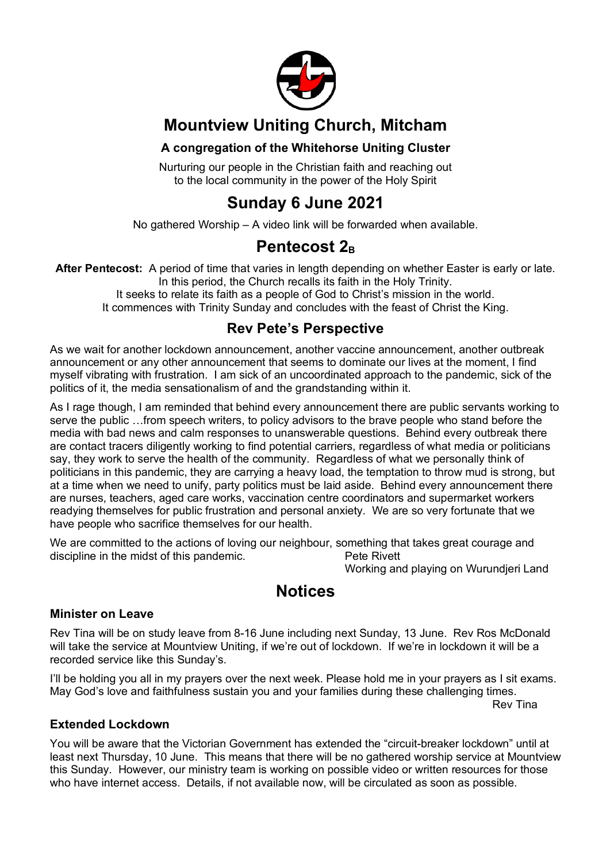

## **Mountview Uniting Church, Mitcham**

#### **A congregation of the Whitehorse Uniting Cluster**

Nurturing our people in the Christian faith and reaching out to the local community in the power of the Holy Spirit

## **Sunday 6 June 2021**

No gathered Worship – A video link will be forwarded when available.

## **Pentecost 2<sub>B</sub>**

**After Pentecost:** A period of time that varies in length depending on whether Easter is early or late. In this period, the Church recalls its faith in the Holy Trinity. It seeks to relate its faith as a people of God to Christ's mission in the world. It commences with Trinity Sunday and concludes with the feast of Christ the King.

### **Rev Pete's Perspective**

As we wait for another lockdown announcement, another vaccine announcement, another outbreak announcement or any other announcement that seems to dominate our lives at the moment, I find myself vibrating with frustration. I am sick of an uncoordinated approach to the pandemic, sick of the politics of it, the media sensationalism of and the grandstanding within it.

As I rage though, I am reminded that behind every announcement there are public servants working to serve the public …from speech writers, to policy advisors to the brave people who stand before the media with bad news and calm responses to unanswerable questions. Behind every outbreak there are contact tracers diligently working to find potential carriers, regardless of what media or politicians say, they work to serve the health of the community. Regardless of what we personally think of politicians in this pandemic, they are carrying a heavy load, the temptation to throw mud is strong, but at a time when we need to unify, party politics must be laid aside. Behind every announcement there are nurses, teachers, aged care works, vaccination centre coordinators and supermarket workers readying themselves for public frustration and personal anxiety. We are so very fortunate that we have people who sacrifice themselves for our health.

We are committed to the actions of loving our neighbour, something that takes great courage and discipline in the midst of this pandemic. Pete Rivett

Working and playing on Wurundjeri Land

## **Notices**

#### **Minister on Leave**

Rev Tina will be on study leave from 8-16 June including next Sunday, 13 June. Rev Ros McDonald will take the service at Mountview Uniting, if we're out of lockdown. If we're in lockdown it will be a recorded service like this Sunday's.

I'll be holding you all in my prayers over the next week. Please hold me in your prayers as I sit exams. May God's love and faithfulness sustain you and your families during these challenging times.

Rev Tina

#### **Extended Lockdown**

You will be aware that the Victorian Government has extended the "circuit-breaker lockdown" until at least next Thursday, 10 June. This means that there will be no gathered worship service at Mountview this Sunday. However, our ministry team is working on possible video or written resources for those who have internet access. Details, if not available now, will be circulated as soon as possible.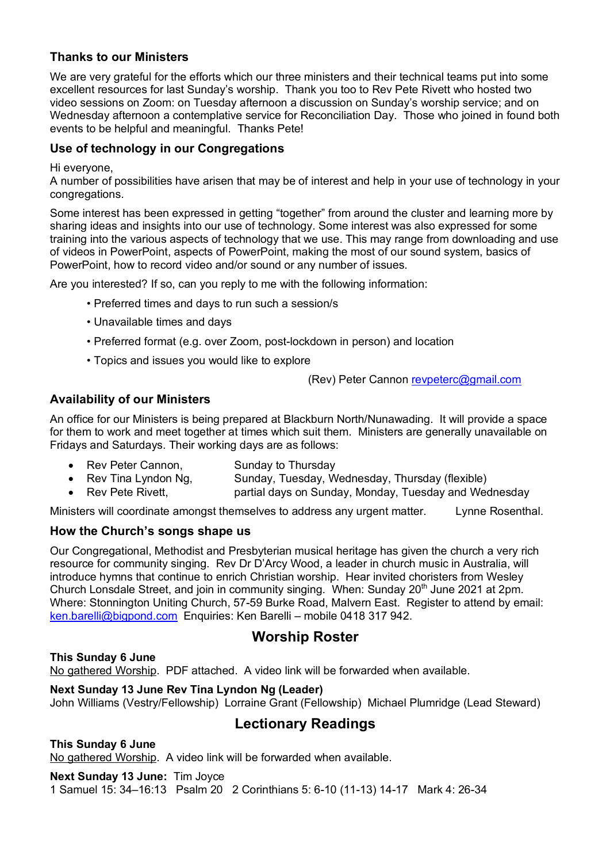#### **Thanks to our Ministers**

We are very grateful for the efforts which our three ministers and their technical teams put into some excellent resources for last Sunday's worship. Thank you too to Rev Pete Rivett who hosted two video sessions on Zoom: on Tuesday afternoon a discussion on Sunday's worship service; and on Wednesday afternoon a contemplative service for Reconciliation Day. Those who joined in found both events to be helpful and meaningful. Thanks Pete!

#### **Use of technology in our Congregations**

Hi everyone,

A number of possibilities have arisen that may be of interest and help in your use of technology in your congregations.

Some interest has been expressed in getting "together" from around the cluster and learning more by sharing ideas and insights into our use of technology. Some interest was also expressed for some training into the various aspects of technology that we use. This may range from downloading and use of videos in PowerPoint, aspects of PowerPoint, making the most of our sound system, basics of PowerPoint, how to record video and/or sound or any number of issues.

Are you interested? If so, can you reply to me with the following information:

- Preferred times and days to run such a session/s
- Unavailable times and days
- Preferred format (e.g. over Zoom, post-lockdown in person) and location
- Topics and issues you would like to explore

(Rev) Peter Cannon revpeterc@gmail.com

#### **Availability of our Ministers**

An office for our Ministers is being prepared at Blackburn North/Nunawading. It will provide a space for them to work and meet together at times which suit them. Ministers are generally unavailable on Fridays and Saturdays. Their working days are as follows:

- Rev Peter Cannon, Sunday to Thursday
- Rev Tina Lyndon Ng, Sunday, Tuesday, Wednesday, Thursday (flexible)
- Rev Pete Rivett, partial days on Sunday, Monday, Tuesday and Wednesday

Ministers will coordinate amongst themselves to address any urgent matter. Lynne Rosenthal.

#### **How the Church's songs shape us**

Our Congregational, Methodist and Presbyterian musical heritage has given the church a very rich resource for community singing. Rev Dr D'Arcy Wood, a leader in church music in Australia, will introduce hymns that continue to enrich Christian worship. Hear invited choristers from Wesley Church Lonsdale Street, and join in community singing. When: Sunday 20th June 2021 at 2pm. Where: Stonnington Uniting Church, 57-59 Burke Road, Malvern East. Register to attend by email: ken.barelli@bigpond.com Enquiries: Ken Barelli – mobile 0418 317 942.

#### **Worship Roster**

**This Sunday 6 June**  No gathered Worship. PDF attached. A video link will be forwarded when available.

#### **Next Sunday 13 June Rev Tina Lyndon Ng (Leader)**

John Williams (Vestry/Fellowship) Lorraine Grant (Fellowship) Michael Plumridge (Lead Steward)

#### **Lectionary Readings**

**This Sunday 6 June** No gathered Worship. A video link will be forwarded when available.

**Next Sunday 13 June:** Tim Joyce 1 Samuel 15: 34–16:13 Psalm 20 2 Corinthians 5: 6-10 (11-13) 14-17 Mark 4: 26-34